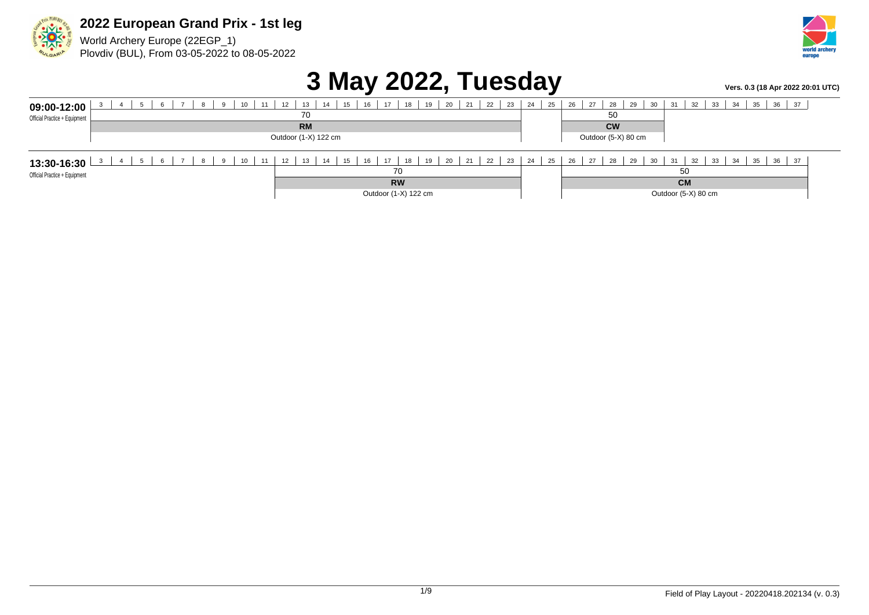

World Archery Europe (22EGP\_1) Plovdiv (BUL), From 03-05-2022 to 08-05-2022



## **3 May 2022, Tuesday** *Vers. 0.3 (18 Apr 2022 20:01 UTC)*

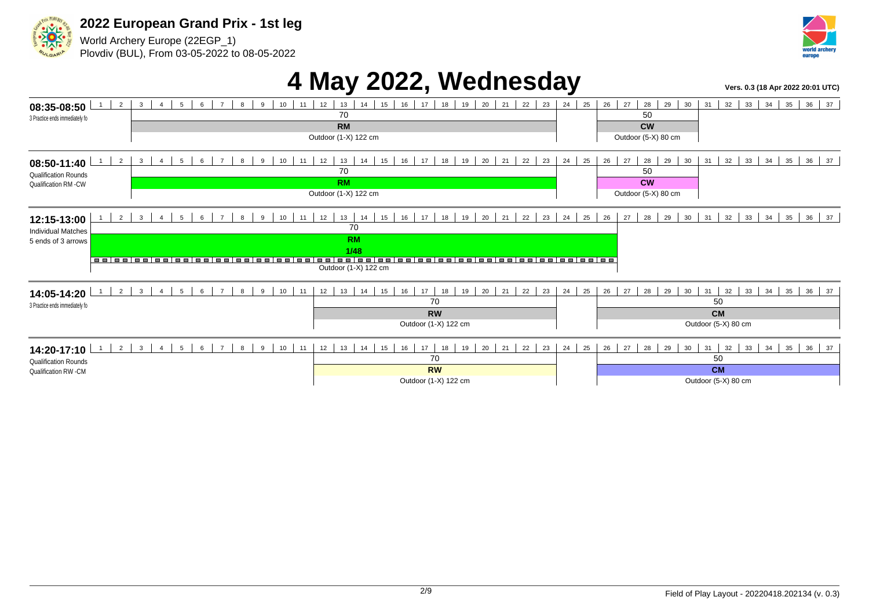

World Archery Europe (22EGP\_1) Plovdiv (BUL), From 03-05-2022 to 08-05-2022



## **4 May 2022, Wednesday Vers. 0.3 (18 Apr 2022 20:01 UTC)**

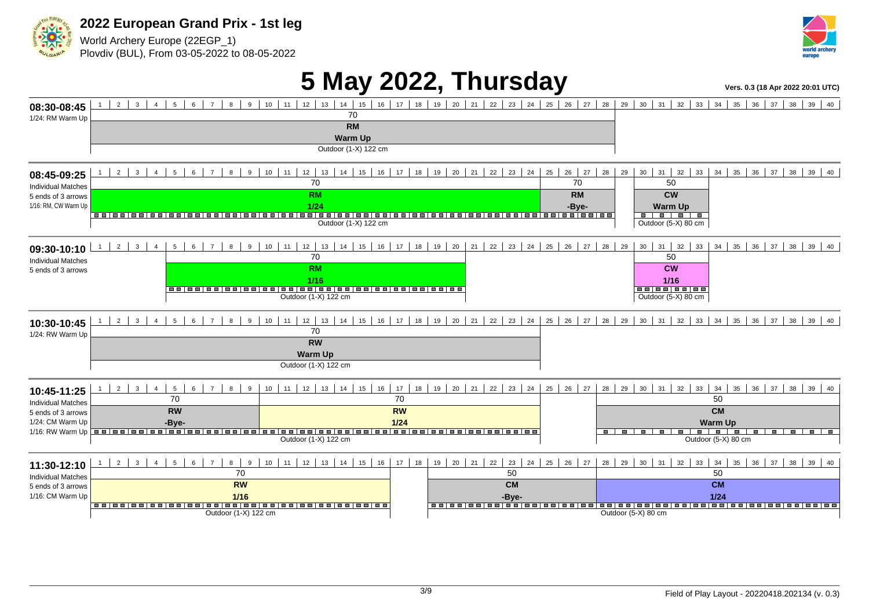

World Archery Europe (22EGP\_1) Plovdiv (BUL), From 03-05-2022 to 08-05-2022



# **5 May 2022, Thursday** *Vers. 0.3 (18 Apr 2022 20:01 UTC)*

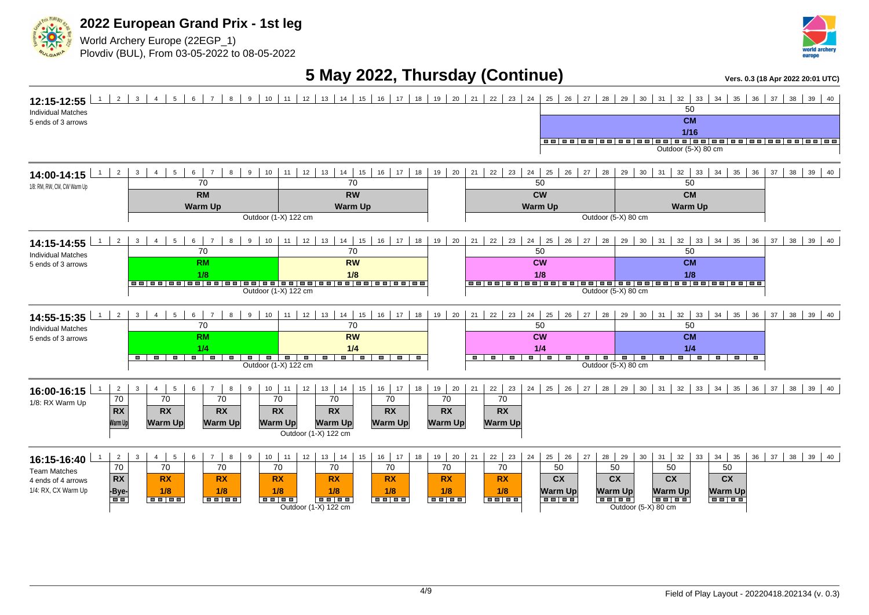

World Archery Europe (22EGP\_1) Plovdiv (BUL), From 03-05-2022 to 08-05-2022



### **5 May 2022, Thursday (Continue)** *Vers. 0.3 (18 Apr 2022 20:01 UTC)*

| $1 \mid 2 \mid 3 \mid 4 \mid$<br>8 9 10 11 12 13 14 15 16 17 18 19 20 21 22 23 24<br>$5 \mid$<br>$6 \mid 7 \mid$<br>12:15-12:55<br><b>Individual Matches</b><br>5 ends of 3 arrows                                                                                                                                                                                                                                                                                                                                                                                                                                                                                                                              | 27   28   29   30   31   32   33  <br>$25 \mid 26 \mid$<br>$34 \mid 35 \mid 36 \mid 37 \mid 38 \mid 39 \mid 40$<br>50<br><b>CM</b><br>$1/16$<br>Outdoor (5-X) 80 cm                                                                                                                                                                                                                                                                                                                                                                                   |
|-----------------------------------------------------------------------------------------------------------------------------------------------------------------------------------------------------------------------------------------------------------------------------------------------------------------------------------------------------------------------------------------------------------------------------------------------------------------------------------------------------------------------------------------------------------------------------------------------------------------------------------------------------------------------------------------------------------------|-------------------------------------------------------------------------------------------------------------------------------------------------------------------------------------------------------------------------------------------------------------------------------------------------------------------------------------------------------------------------------------------------------------------------------------------------------------------------------------------------------------------------------------------------------|
| 8 9 10 11 12 13 14 15 16 17 18 19 20 21 22 23 24 25 26<br>$6 \mid 7$<br>$2 \mid 3 \mid$<br>4<br>$5-1$<br>1<br>14:00-14:15<br>70<br>70<br>1/8: RM, RW, CM, CW Warm Up<br><b>RM</b><br><b>RW</b><br><b>Warm Up</b><br><b>Warm Up</b><br>Outdoor (1-X) 122 cm                                                                                                                                                                                                                                                                                                                                                                                                                                                      | 27   28   29   30  <br>$31 \mid 32 \mid 33$<br>$34 \mid 35 \mid 36$<br>$37 \mid 38 \mid 39 \mid 40$<br>50<br>50<br><b>CW</b><br><b>CM</b><br><b>Warm Up</b><br><b>Warm Up</b><br>Outdoor (5-X) 80 cm                                                                                                                                                                                                                                                                                                                                                  |
| $12$ 13<br>14<br>15   16   17   18   19   20<br>$2 \mid$<br>$\mathbf{3}$<br>5 <sup>5</sup><br>$6-1$<br>9 <sup>1</sup><br>10<br>1<br>$\overline{4}$<br>$\overline{7}$<br>8<br>11<br>14:15-14:55<br>70<br>70<br><b>Individual Matches</b><br><b>RM</b><br><b>RW</b><br>5 ends of 3 arrows<br>1/8<br>1/8<br>Outdoor (1-X) 122 cm                                                                                                                                                                                                                                                                                                                                                                                   | $21 \mid 22 \mid 23 \mid$<br>$32 \mid 33$<br>$24 \mid 25$<br>26<br>27<br>30<br>$34$ 35 36<br>$38 \mid 39 \mid 40$<br>28<br>29<br>31<br>37<br>50<br>50<br><b>CM</b><br><b>CW</b><br>1/8<br>1/8<br><u> sojoojoojoojoojoojoo   eojoojoojoojoojoojoojoo</u><br>Outdoor (5-X) 80 cm                                                                                                                                                                                                                                                                        |
| $12$ 13<br>$14$   15   16  <br>$2 \mid$<br>6<br>17<br>18 19 20<br>1<br>9<br>10<br>11<br>$\mathbf{3}$<br>5 <sub>5</sub><br>$\overline{7}$<br>8<br>$\overline{4}$<br>14:55-15:35<br>70<br>70<br><b>Individual Matches</b><br><b>RM</b><br><b>RW</b><br>5 ends of 3 arrows<br>1/4<br>1/4<br>$\blacksquare$<br><del>.</del><br>ਰ<br><b>.</b> .<br>$\blacksquare$<br>Outdoor (1-X) 122 cm                                                                                                                                                                                                                                                                                                                            | $32 \mid 33$<br>$21 \mid 22 \mid 23 \mid$<br>$38$ 39 40<br>$24 \mid 25$<br>26<br>27<br>30<br>$34 \mid 35 \mid 36$<br>28<br>29<br>31<br>37<br>50<br>50<br>$\overline{CM}$<br><b>CW</b><br>1/4<br>1/4<br>$\overline{\phantom{a}}$ , $\overline{\phantom{a}}$ , $\overline{\phantom{a}}$ , $\overline{\phantom{a}}$ , $\overline{\phantom{a}}$<br>$\overline{\phantom{a}}$<br>$\overline{\phantom{0}}$<br>$\overline{\phantom{0}}$<br>$\blacksquare$<br>$\blacksquare$<br>τ<br>$\blacksquare$<br>$\blacksquare$<br>$\blacksquare$<br>Outdoor (5-X) 80 cm |
| $10$ 11<br>12<br>13<br>14<br>15<br>16<br>18<br>$19 \mid 20$<br>$\overline{2}$<br>$\mathbf{3}$<br>$\overline{4}$<br>$5\overline{5}$<br>6<br>7 <sup>1</sup><br>8<br>9<br>17<br>16:00-16:15<br>70<br>$\overline{70}$<br>70<br>70<br>70<br>70<br>70<br>1/8: RX Warm Up<br>RX<br><b>RX</b><br><b>RX</b><br><b>RX</b><br><b>RX</b><br><b>RX</b><br><b>RX</b><br><b>Warm Up</b><br><b>Warm Up</b><br><b>Warm Up</b><br><b>Warm Up</b><br>Warm Up<br><b>Warm Up</b><br>Warm Up<br>Outdoor (1-X) 122 cm                                                                                                                                                                                                                  | $25 \mid 26 \mid$<br>$31 \mid 32 \mid 33 \mid$<br>$34$   35   36   37   38   39   40<br>$22 \mid 23$<br>24<br>27   28   29   30  <br>21<br>70<br><b>RX</b><br><b>Warm Up</b>                                                                                                                                                                                                                                                                                                                                                                          |
| $10$ 11<br>16<br>$19 \mid 20$<br>12<br>13<br>14<br>18<br>$\frac{2}{ }$<br>$\mathbf{3}$<br>$\overline{4}$<br>$5\phantom{.0}$<br>6<br>$\overline{7}$<br>8<br>9<br>15<br>17<br>16:15-16:40<br>70<br>70<br>70<br>70<br>70<br>70<br>70<br><b>Team Matches</b><br><b>RX</b><br><b>RX</b><br><b>RX</b><br><b>RX</b><br><b>RX</b><br><b>RX</b><br><b>RX</b><br>4 ends of 4 arrows<br>1/4: RX, CX Warm Up<br>1/8<br>$\frac{-Bye}{\Box}$<br>1/8<br>1/8<br>1/8<br>1/8<br>1/8<br><b>Belee</b><br>$\overline{\bullet}$ . $\overline{\bullet}$ . $\overline{\bullet}$ . $\overline{\bullet}$ .<br>$\begin{array}{c c c c c} \hline \rule{0pt}{16pt} \textbf{a} & \textbf{b} & \textbf{c} \end{array}$<br>Outdoor (1-X) 122 cm | $22 \mid 23$<br>$25$ 26<br>28 29<br>$31 \mid 32 \mid 33$<br>$37 \mid 38 \mid 39 \mid 40$<br>21<br>24<br>27<br>30<br>$34 \mid 35$<br>36<br>70<br>50<br>50<br>50<br>50<br>cx<br><b>CX</b><br>cx<br>cx<br><b>RX</b><br>1/8<br><b>Warm Up</b><br>Warm Up<br>Warm Up<br><b>Warm Up</b><br>चित्रा करो<br><del>la a fa á l</del><br><del>eers é</del><br><del>la a la á</del><br><b>BB 88</b><br>Outdoor (5-X) 80 cm                                                                                                                                         |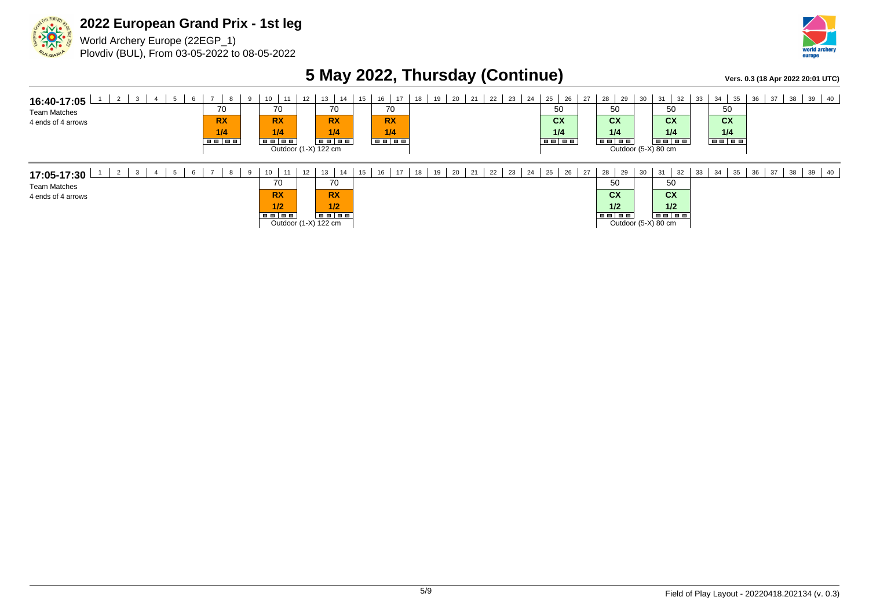

World Archery Europe (22EGP\_1) Plovdiv (BUL), From 03-05-2022 to 08-05-2022



### **5 May 2022, Thursday (Continue)** *Vers. 0.3 (18 Apr 2022 20:01 UTC)*

| 2<br>$5\overline{5}$<br>$\mathbf{3}$<br>6<br>16:40-17:05<br><b>Team Matches</b><br>4 ends of 4 arrows | 8<br>70<br><b>RX</b><br>1/4 | 10 <sub>1</sub><br>11<br>9<br>70<br><b>RX</b><br>1/4<br>$\overline{\phantom{a}}$ . The set $\overline{\phantom{a}}$ | 12 | 13<br>14<br>70<br><b>RX</b><br>1/4<br>Outdoor (1-X) 122 cm                                                            | 15 | 16<br>17<br>70<br><b>RX</b><br>1/4<br>$\blacksquare$ | 19<br>18 | 20<br>21 <sub>1</sub> | 22 | 23<br>24 | 25<br>26<br>50<br>cx<br>1/4 | 27 | 29<br>28<br>50<br>cx<br>1/4<br><b>BE 88</b> | 30 | 31<br>32<br>50<br>cx<br>1/4<br><b>Belee</b><br>Outdoor (5-X) 80 cm | 33 | 35<br>34<br>50<br>cx<br>1/4 | 36 | 38<br>$\vert$ 37 | $39 \mid 40 \mid$ |
|-------------------------------------------------------------------------------------------------------|-----------------------------|---------------------------------------------------------------------------------------------------------------------|----|-----------------------------------------------------------------------------------------------------------------------|----|------------------------------------------------------|----------|-----------------------|----|----------|-----------------------------|----|---------------------------------------------|----|--------------------------------------------------------------------|----|-----------------------------|----|------------------|-------------------|
| 17:05-17:30<br><b>Team Matches</b><br>4 ends of 4 arrows                                              |                             | 10<br>11<br>a<br>70<br><b>RX</b><br>1/2<br>e a la a                                                                 | 12 | 13<br>14<br>70<br><b>RX</b><br>1/2<br>$\overline{\phantom{a}}$ . The $\overline{\phantom{a}}$<br>Outdoor (1-X) 122 cm | 15 | 16<br>17                                             |          | 20<br>21              | 22 | 23<br>24 | 26<br>25                    | 27 | 29<br>28<br>50<br>cx<br>1/2<br>e e l e e    | 30 | 31<br>32<br>50<br>cx<br>1/2<br>Outdoor (5-X) 80 cm                 | 33 | 35<br>34                    | 36 | 38<br>37         | $39 \mid 40 \mid$ |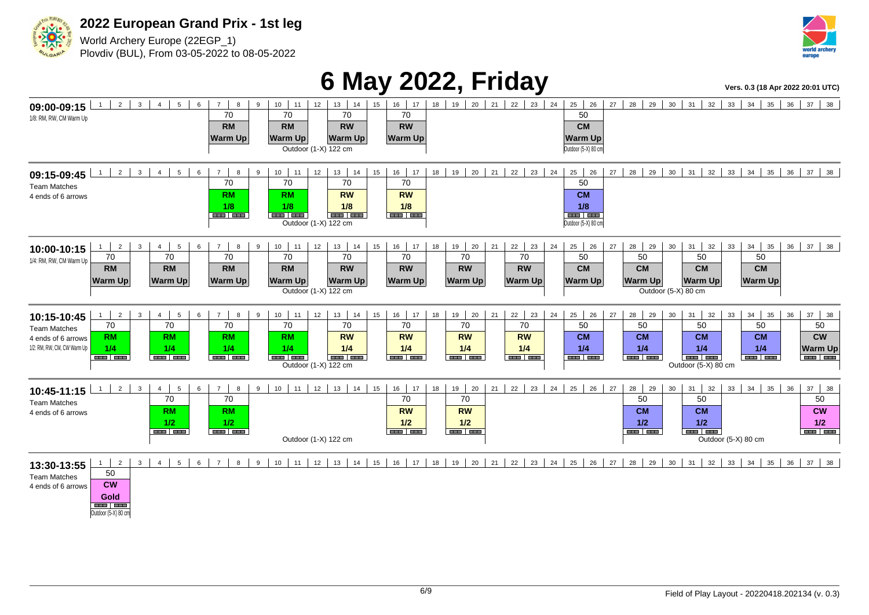



World Archery Europe (22EGP\_1) Plovdiv (BUL), From 03-05-2022 to 08-05-2022



# **6 May 2022, Friday** *Property Algers. 0.3 (18 Apr 2022 20:01 UTC***)**

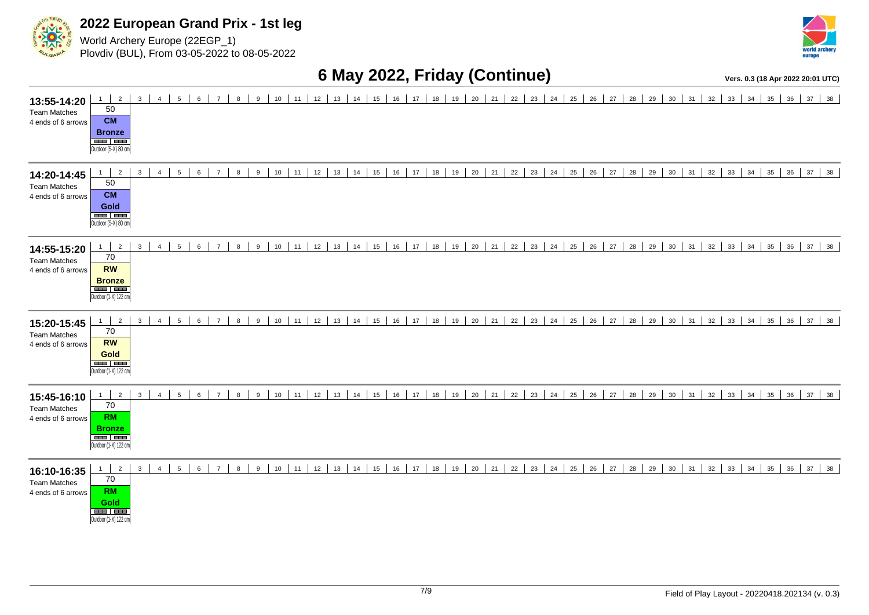

World Archery Europe (22EGP\_1) Plovdiv (BUL), From 03-05-2022 to 08-05-2022



### **6 May 2022, Friday (Continue) Vers. 0.3 (18 Apr 2022 20:01 UTC)**

**13:55-14:20** Team Matches 4 ends of 6 arrows 1 2 3 4 5 6 7 8 9 10 11 12 13 14 15 16 17 18 19 20 21 22 23 24 25 26 27 28 29 30 31 32 33 34 35 36 37 38 50 **CM Bronze** Outdoor (5-X) 80 cm **14:20-14:45** Team Matches 4 ends of 6 arrows 1 2 3 4 5 6 7 8 9 10 11 12 13 14 15 16 17 18 19 20 21 22 23 24 25 26 27 28 29 30 31 32 33 34 35 36 37 38 50 **CM Gold** Outdoor (5-X) 80 cm **14:55-15:20** Team Matches 4 ends of 6 arrows 1 2 3 4 5 6 7 8 9 10 11 12 13 14 15 16 17 18 19 20 21 22 23 24 25 26 27 28 29 30 31 32 33 34 35 36 37 38 70 **RW Bronze** Outdoor (1-X) 122 cm **15:20-15:45** Team Matches 4 ends of 6 arrows 1 2 3 4 5 6 7 8 9 10 11 12 13 14 15 16 17 18 19 20 21 22 23 24 25 26 27 28 29 30 31 32 33 34 35 36 37 38 70 **RW Gold** Outdoor (1-X) 122 cm **15:45-16:10** Team Matches 4 ends of 6 arrows 1 2 3 4 5 6 7 8 9 10 11 12 13 14 15 16 17 18 19 20 21 22 23 24 25 26 27 28 29 30 31 32 33 34 35 36 37 38 70 **RM Bronze** Outdoor (1-X) 122 cm **16:10-16:35** Team Matches 4 ends of 6 arrows 1 2 3 4 5 6 7 8 9 10 11 12 13 14 15 16 17 18 19 20 21 22 23 24 25 26 27 28 29 30 31 32 33 34 35 36 37 38 70 **RM Gold**

Outdoor (1-X) 122 cm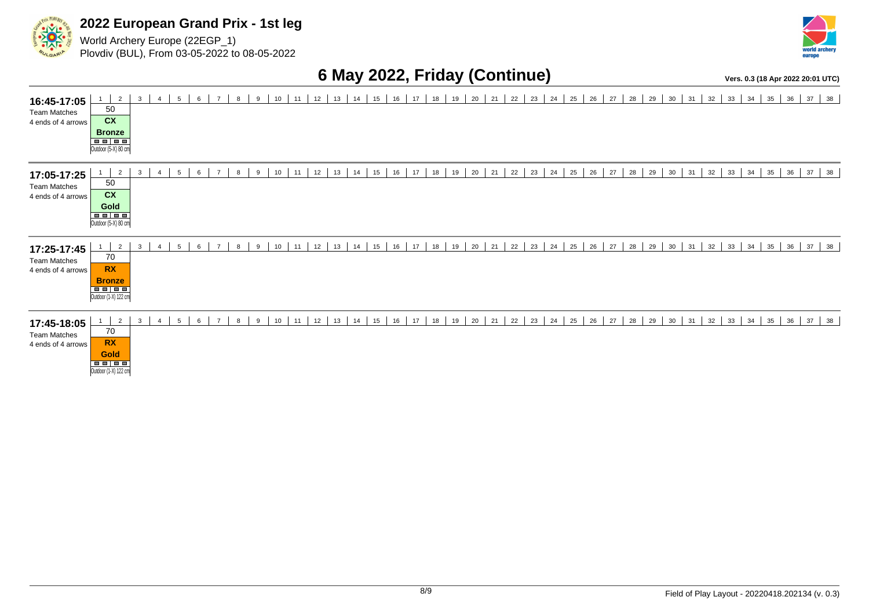

World Archery Europe (22EGP\_1) Plovdiv (BUL), From 03-05-2022 to 08-05-2022



### **6 May 2022, Friday (Continue) Vers. 0.3 (18 Apr 2022 20:01 UTC)**

**16:45-17:05** Team Matches 4 ends of 4 arrows 1 2 3 4 5 6 7 8 9 10 11 12 13 14 15 16 17 18 19 20 21 22 23 24 25 26 27 28 29 30 31 32 33 34 35 36 37 38 50 **CX Bronze** Outdoor (5-X) 80 cm **17:05-17:25** Team Matches 4 ends of 4 arrows 1 2 3 4 5 6 7 8 9 10 11 12 13 14 15 16 17 18 19 20 21 22 23 24 25 26 27 28 29 30 31 32 33 34 35 36 37 38 50 **CX Gold** Outdoor (5-X) 80 cm **17:25-17:45** Team Matches 4 ends of 4 arrows 1 2 3 4 5 6 7 8 9 10 11 2 3 4 5 6 7 8 9 10 11 3 4 5  $38$ 70 **RX** Bronze<br>■■■■■ Outdoor (1-X) 122 cm **17:45-18:05** Team Matches 4 ends of 4 arrows 1 2 3 4 5 6 7 8 9 10 11 12 13 14 15 16 17 18 19 20 21 22 23 24 25 26 27 28 29 30 31 32 33 34 35 36 37 38 70 **RX Gold** Outdoor (1-X) 122 cm